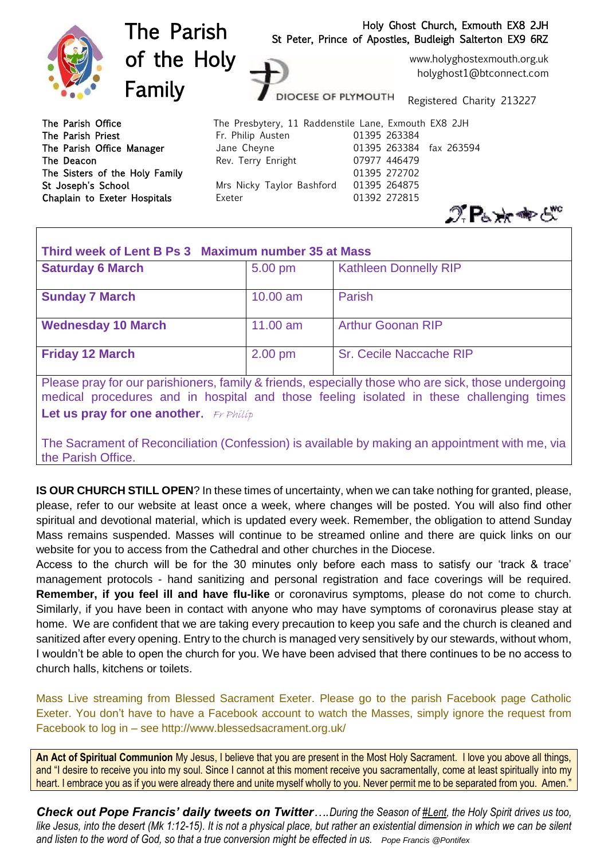

| Third week of Lent B Ps 3 Maximum number 35 at Mass |                   |                                |
|-----------------------------------------------------|-------------------|--------------------------------|
| <b>Saturday 6 March</b>                             | $5.00 \text{ pm}$ | <b>Kathleen Donnelly RIP</b>   |
| <b>Sunday 7 March</b>                               | $10.00$ am        | Parish                         |
| <b>Wednesday 10 March</b>                           | $11.00$ am        | <b>Arthur Goonan RIP</b>       |
| <b>Friday 12 March</b>                              | $2.00$ pm         | <b>Sr. Cecile Naccache RIP</b> |

Please pray for our parishioners, family & friends, especially those who are sick, those undergoing medical procedures and in hospital and those feeling isolated in these challenging times **Let us pray for one another.** Fr Philip

The Sacrament of Reconciliation (Confession) is available by making an appointment with me, via the Parish Office.

**IS OUR CHURCH STILL OPEN**? In these times of uncertainty, when we can take nothing for granted, please, please, refer to our website at least once a week, where changes will be posted. You will also find other spiritual and devotional material, which is updated every week. Remember, the obligation to attend Sunday Mass remains suspended. Masses will continue to be streamed online and there are quick links on our website for you to access from the Cathedral and other churches in the Diocese.

Access to the church will be for the 30 minutes only before each mass to satisfy our 'track & trace' management protocols - hand sanitizing and personal registration and face coverings will be required. **Remember, if you feel ill and have flu-like** or coronavirus symptoms, please do not come to church. Similarly, if you have been in contact with anyone who may have symptoms of coronavirus please stay at home. We are confident that we are taking every precaution to keep you safe and the church is cleaned and sanitized after every opening. Entry to the church is managed very sensitively by our stewards, without whom, I wouldn't be able to open the church for you. We have been advised that there continues to be no access to church halls, kitchens or toilets.

Mass Live streaming from Blessed Sacrament Exeter. Please go to the parish Facebook page Catholic Exeter. You don't have to have a Facebook account to watch the Masses, simply ignore the request from Facebook to log in – see http://www.blessedsacrament.org.uk/

**An Act of Spiritual Communion** My Jesus, I believe that you are present in the Most Holy Sacrament. I love you above all things, and "I desire to receive you into my soul. Since I cannot at this moment receive you sacramentally, come at least spiritually into my heart. I embrace you as if you were already there and unite myself wholly to you. Never permit me to be separated from you. Amen."

*Check out Pope Francis' daily tweets on Twitter….During the Season o[f #Lent,](https://twitter.com/hashtag/Lent?src=hashtag_click) the Holy Spirit drives us too,*  like Jesus, into the desert (Mk 1:12-15). It is not a physical place, but rather an existential dimension in which we can be silent *and listen to the word of God, so that a true conversion might be effected in us. Pope Francis @Pontifex*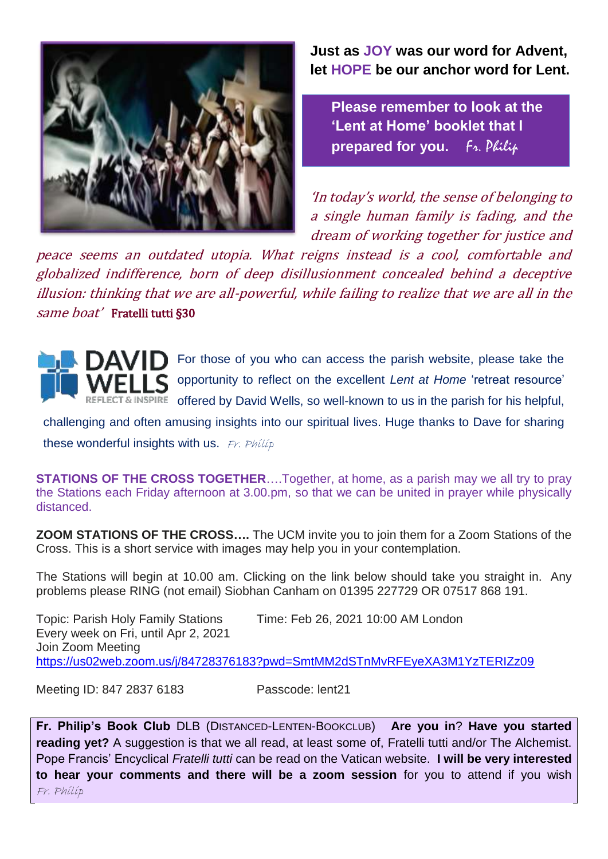

**Just as JOY was our word for Advent, let HOPE be our anchor word for Lent.**

**Please remember to look at the 'Lent at Home' booklet that I prepared for you.** Fr. Philip

'In today's world, the sense of belonging to a single human family is fading, and the dream of working together for justice and

peace seems an outdated utopia. What reigns instead is a cool, comfortable and globalized indifference, born of deep disillusionment concealed behind a deceptive illusion: thinking that we are all-powerful, while failing to realize that we are all in the same boat' Fratelli tutti §30



For those of you who can access the parish website, please take the opportunity to reflect on the excellent *Lent at Home* 'retreat resource' & INSPIRE offered by David Wells, so well-known to us in the parish for his helpful,

challenging and often amusing insights into our spiritual lives. Huge thanks to Dave for sharing these wonderful insights with us.  $Fr$ . Philip

**STATIONS OF THE CROSS TOGETHER**….Together, at home, as a parish may we all try to pray the Stations each Friday afternoon at 3.00.pm, so that we can be united in prayer while physically distanced.

**ZOOM STATIONS OF THE CROSS….** The UCM invite you to join them for a Zoom Stations of the Cross. This is a short service with images may help you in your contemplation.

The Stations will begin at 10.00 am. Clicking on the link below should take you straight in. Any problems please RING (not email) Siobhan Canham on 01395 227729 OR 07517 868 191.

Topic: Parish Holy Family Stations Time: Feb 26, 2021 10:00 AM London Every week on Fri, until Apr 2, 2021 Join Zoom Meeting <https://us02web.zoom.us/j/84728376183?pwd=SmtMM2dSTnMvRFEyeXA3M1YzTERIZz09>

Meeting ID: 847 2837 6183 Passcode: lent21

**Fr. Philip's Book Club** DLB (DISTANCED-LENTEN-BOOKCLUB) **Are you in**? **Have you started reading yet?** A suggestion is that we all read, at least some of, Fratelli tutti and/or The Alchemist. Pope Francis' Encyclical *Fratelli tutti* can be read on the Vatican website. **I will be very interested to hear your comments and there will be a zoom session** for you to attend if you wish Fr. Philip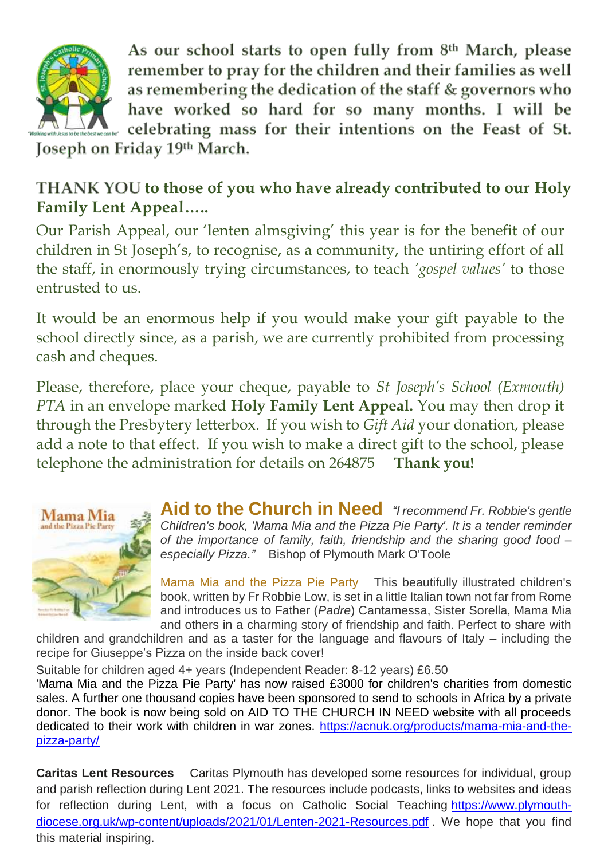

As our school starts to open fully from 8th March, please remember to pray for the children and their families as well as remembering the dedication of the staff & governors who have worked so hard for so many months. I will be celebrating mass for their intentions on the Feast of St.

Joseph on Friday 19th March.

## THANK YOU to those of you who have already contributed to our Holy **Family Lent Appeal…..**

Our Parish Appeal, our 'lenten almsgiving' this year is for the benefit of our children in St Joseph's, to recognise, as a community, the untiring effort of all the staff, in enormously trying circumstances, to teach *'gospel values'* to those entrusted to us.

It would be an enormous help if you would make your gift payable to the school directly since, as a parish, we are currently prohibited from processing cash and cheques.

Please, therefore, place your cheque, payable to *St Joseph's School (Exmouth) PTA* in an envelope marked **Holy Family Lent Appeal.** You may then drop it through the Presbytery letterbox. If you wish to *Gift Aid* your donation, please add a note to that effect. If you wish to make a direct gift to the school, please telephone the administration for details on 264875 **Thank you!**



**Aid to the Church in Need** *"I recommend Fr. Robbie's gentle Children's book, 'Mama Mia and the Pizza Pie Party'. It is a tender reminder of the importance of family, faith, friendship and the sharing good food – especially Pizza."* Bishop of Plymouth Mark O'Toole

Mama Mia and the Pizza Pie Party This beautifully illustrated children's book, written by Fr Robbie Low, is set in a little Italian town not far from Rome and introduces us to Father (*Padre*) Cantamessa, Sister Sorella, Mama Mia and others in a charming story of friendship and faith. Perfect to share with

children and grandchildren and as a taster for the language and flavours of Italy – including the recipe for Giuseppe's Pizza on the inside back cover!

Suitable for children aged 4+ years (Independent Reader: 8-12 years) £6.50

'Mama Mia and the Pizza Pie Party' has now raised £3000 for children's charities from domestic sales. A further one thousand copies have been sponsored to send to schools in Africa by a private donor. The book is now being sold on AID TO THE CHURCH IN NEED website with all proceeds dedicated to their work with children in war zones. [https://acnuk.org/products/mama-mia-and-the](https://acnuk.org/products/mama-mia-and-the-pizza-party/)[pizza-party/](https://acnuk.org/products/mama-mia-and-the-pizza-party/)

**Caritas Lent Resources** Caritas Plymouth has developed some resources for individual, group and parish reflection during Lent 2021. The resources include podcasts, links to websites and ideas for reflection during Lent, with a focus on Catholic Social Teaching [https://www.plymouth](https://www.plymouth-diocese.org.uk/wp-content/uploads/2021/01/Lenten-2021-Resources.pdf)[diocese.org.uk/wp-content/uploads/2021/01/Lenten-2021-Resources.pdf](https://www.plymouth-diocese.org.uk/wp-content/uploads/2021/01/Lenten-2021-Resources.pdf) . We hope that you find this material inspiring.